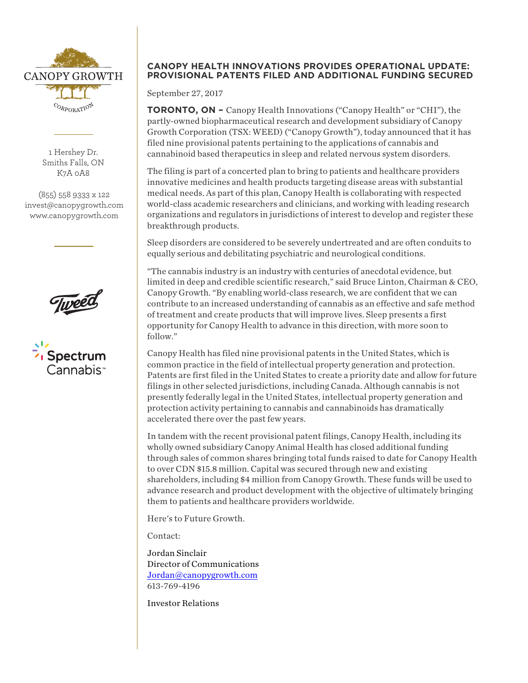

1 Hershey Dr. Smiths Falls, ON K7A 0A8

(855) 558 9333 x 122 invest@canopygrowth.com www.canopygrowth.com





## **CANOPY HEALTH INNOVATIONS PROVIDES OPERATIONAL UPDATE: PROVISIONAL PATENTS FILED AND ADDITIONAL FUNDING SECURED**

September 27, 2017

**TORONTO, ON –** Canopy Health Innovations ("Canopy Health" or "CHI"), the partly-owned biopharmaceutical research and development subsidiary of Canopy Growth Corporation (TSX: WEED) ("Canopy Growth"), today announced that it has filed nine provisional patents pertaining to the applications of cannabis and cannabinoid based therapeutics in sleep and related nervous system disorders.

The filing is part of a concerted plan to bring to patients and healthcare providers innovative medicines and health products targeting disease areas with substantial medical needs. As part of this plan, Canopy Health is collaborating with respected world-class academic researchers and clinicians, and working with leading research organizations and regulators in jurisdictions of interest to develop and register these breakthrough products.

Sleep disorders are considered to be severely undertreated and are often conduits to equally serious and debilitating psychiatric and neurological conditions.

"The cannabis industry is an industry with centuries of anecdotal evidence, but limited in deep and credible scientific research," said Bruce Linton, Chairman & CEO, Canopy Growth. "By enabling world-class research, we are confident that we can contribute to an increased understanding of cannabis as an effective and safe method of treatment and create products that will improve lives. Sleep presents a first opportunity for Canopy Health to advance in this direction, with more soon to follow."

Canopy Health has filed nine provisional patents in the United States, which is common practice in the field of intellectual property generation and protection. Patents are first filed in the United States to create a priority date and allow for future filings in other selected jurisdictions, including Canada. Although cannabis is not presently federally legal in the United States, intellectual property generation and protection activity pertaining to cannabis and cannabinoids has dramatically accelerated there over the past few years.

In tandem with the recent provisional patent filings, Canopy Health, including its wholly owned subsidiary Canopy Animal Health has closed additional funding through sales of common shares bringing total funds raised to date for Canopy Health to over CDN \$15.8 million. Capital was secured through new and existing shareholders, including \$4 million from Canopy Growth. These funds will be used to advance research and product development with the objective of ultimately bringing them to patients and healthcare providers worldwide.

Here's to Future Growth.

Contact:

Jordan Sinclair Director of Communications Jordan@canopygrowth.com 613-769-4196

Investor Relations